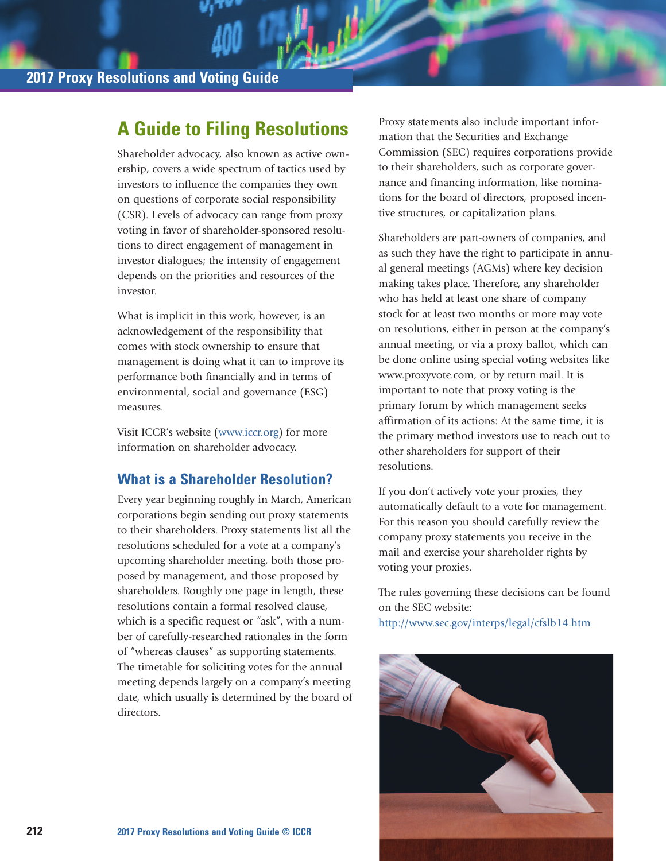# **A Guide to Filing Resolutions**

Shareholder advocacy, also known as active ownership, covers a wide spectrum of tactics used by investors to influence the companies they own on questions of corporate social responsibility (CSR). Levels of advocacy can range from proxy voting in favor of shareholder-sponsored resolutions to direct engagement of management in investor dialogues; the intensity of engagement depends on the priorities and resources of the investor.

What is implicit in this work, however, is an acknowledgement of the responsibility that comes with stock ownership to ensure that management is doing what it can to improve its performance both financially and in terms of environmental, social and governance (ESG) measures.

Visit ICCR's website (www.iccr.org) for more information on shareholder advocacy.

# **What is a Shareholder Resolution?**

Every year beginning roughly in March, American corporations begin sending out proxy statements to their shareholders. Proxy statements list all the resolutions scheduled for a vote at a company's upcoming shareholder meeting, both those proposed by management, and those proposed by shareholders. Roughly one page in length, these resolutions contain a formal resolved clause, which is a specific request or "ask", with a number of carefully-researched rationales in the form of "whereas clauses" as supporting statements. The timetable for soliciting votes for the annual meeting depends largely on a company's meeting date, which usually is determined by the board of directors.

Proxy statements also include important information that the Securities and Exchange Commission (SEC) requires corporations provide to their shareholders, such as corporate governance and financing information, like nominations for the board of directors, proposed incentive structures, or capitalization plans.

Shareholders are part-owners of companies, and as such they have the right to participate in annual general meetings (AGMs) where key decision making takes place. Therefore, any shareholder who has held at least one share of company stock for at least two months or more may vote on resolutions, either in person at the company's annual meeting, or via a proxy ballot, which can be done online using special voting websites like www.proxyvote.com, or by return mail. It is important to note that proxy voting is the primary forum by which management seeks affirmation of its actions: At the same time, it is the primary method investors use to reach out to other shareholders for support of their resolutions.

If you don't actively vote your proxies, they automatically default to a vote for management. For this reason you should carefully review the company proxy statements you receive in the mail and exercise your shareholder rights by voting your proxies.

The rules governing these decisions can be found on the SEC website: http://www.sec.gov/interps/legal/cfslb14.htm

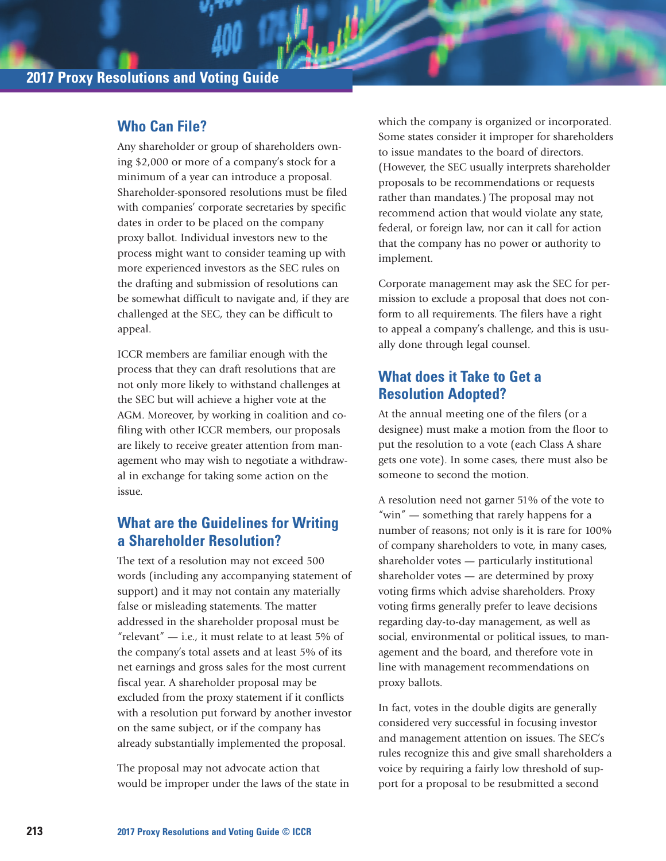#### **Who Can File?**

Any shareholder or group of shareholders owning \$2,000 or more of a company's stock for a minimum of a year can introduce a proposal. Shareholder-sponsored resolutions must be filed with companies' corporate secretaries by specific dates in order to be placed on the company proxy ballot. Individual investors new to the process might want to consider teaming up with more experienced investors as the SEC rules on the drafting and submission of resolutions can be somewhat difficult to navigate and, if they are challenged at the SEC, they can be difficult to appeal.

ICCR members are familiar enough with the process that they can draft resolutions that are not only more likely to withstand challenges at the SEC but will achieve a higher vote at the AGM. Moreover, by working in coalition and cofiling with other ICCR members, our proposals are likely to receive greater attention from management who may wish to negotiate a withdrawal in exchange for taking some action on the issue.

### **What are the Guidelines for Writing a Shareholder Resolution?**

The text of a resolution may not exceed 500 words (including any accompanying statement of support) and it may not contain any materially false or misleading statements. The matter addressed in the shareholder proposal must be "relevant"  $-$  i.e., it must relate to at least 5% of the company's total assets and at least 5% of its net earnings and gross sales for the most current fiscal year. A shareholder proposal may be excluded from the proxy statement if it conflicts with a resolution put forward by another investor on the same subject, or if the company has already substantially implemented the proposal.

The proposal may not advocate action that would be improper under the laws of the state in which the company is organized or incorporated. Some states consider it improper for shareholders to issue mandates to the board of directors. (However, the SEC usually interprets shareholder proposals to be recommendations or requests rather than mandates.) The proposal may not recommend action that would violate any state, federal, or foreign law, nor can it call for action that the company has no power or authority to implement.

Corporate management may ask the SEC for permission to exclude a proposal that does not conform to all requirements. The filers have a right to appeal a company's challenge, and this is usually done through legal counsel.

## **What does it Take to Get a Resolution Adopted?**

At the annual meeting one of the filers (or a designee) must make a motion from the floor to put the resolution to a vote (each Class A share gets one vote). In some cases, there must also be someone to second the motion.

A resolution need not garner 51% of the vote to "win" — something that rarely happens for a number of reasons; not only is it is rare for 100% of company shareholders to vote, in many cases, shareholder votes — particularly institutional shareholder votes — are determined by proxy voting firms which advise shareholders. Proxy voting firms generally prefer to leave decisions regarding day-to-day management, as well as social, environmental or political issues, to management and the board, and therefore vote in line with management recommendations on proxy ballots.

In fact, votes in the double digits are generally considered very successful in focusing investor and management attention on issues. The SEC's rules recognize this and give small shareholders a voice by requiring a fairly low threshold of support for a proposal to be resubmitted a second